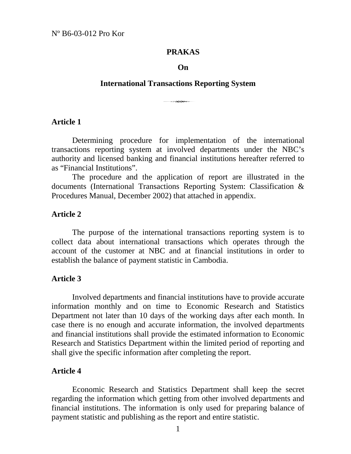#### **PRAKAS**

#### **On**

# **International Transactions Reporting System**

# **Article 1 33.32**

 Determining procedure for implementation of the international transactions reporting system at involved departments under the NBC's authority and licensed banking and financial institutions hereafter referred to as "Financial Institutions".

 The procedure and the application of report are illustrated in the documents (International Transactions Reporting System: Classification & Procedures Manual, December 2002) that attached in appendix.

#### **Article 2**

 The purpose of the international transactions reporting system is to collect data about international transactions which operates through the account of the customer at NBC and at financial institutions in order to establish the balance of payment statistic in Cambodia.

#### **Article 3**

 Involved departments and financial institutions have to provide accurate information monthly and on time to Economic Research and Statistics Department not later than 10 days of the working days after each month. In case there is no enough and accurate information, the involved departments and financial institutions shall provide the estimated information to Economic Research and Statistics Department within the limited period of reporting and shall give the specific information after completing the report.

#### **Article 4**

 Economic Research and Statistics Department shall keep the secret regarding the information which getting from other involved departments and financial institutions. The information is only used for preparing balance of payment statistic and publishing as the report and entire statistic.